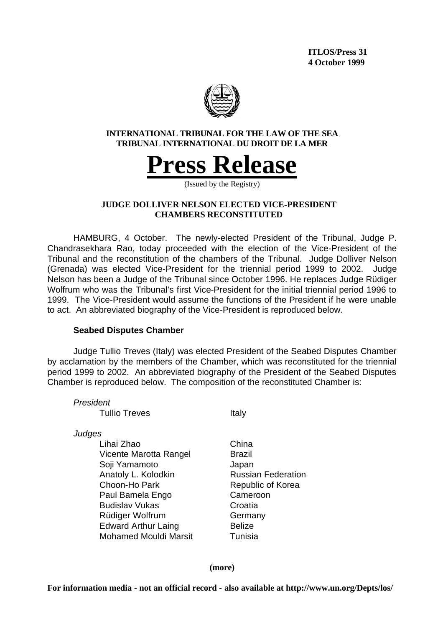**ITLOS/Press 31 4 October 1999**



**INTERNATIONAL TRIBUNAL FOR THE LAW OF THE SEA TRIBUNAL INTERNATIONAL DU DROIT DE LA MER**



(Issued by the Registry)

## **JUDGE DOLLIVER NELSON ELECTED VICE-PRESIDENT CHAMBERS RECONSTITUTED**

HAMBURG, 4 October. The newly-elected President of the Tribunal, Judge P. Chandrasekhara Rao, today proceeded with the election of the Vice-President of the Tribunal and the reconstitution of the chambers of the Tribunal. Judge Dolliver Nelson (Grenada) was elected Vice-President for the triennial period 1999 to 2002. Judge Nelson has been a Judge of the Tribunal since October 1996. He replaces Judge Rüdiger Wolfrum who was the Tribunal's first Vice-President for the initial triennial period 1996 to 1999. The Vice-President would assume the functions of the President if he were unable to act. An abbreviated biography of the Vice-President is reproduced below.

## **Seabed Disputes Chamber**

Judge Tullio Treves (Italy) was elected President of the Seabed Disputes Chamber by acclamation by the members of the Chamber, which was reconstituted for the triennial period 1999 to 2002. An abbreviated biography of the President of the Seabed Disputes Chamber is reproduced below. The composition of the reconstituted Chamber is:

*President*

Tullio Treves **Italy** 

*Judges* 

Lihai Zhao China Vicente Marotta Rangel Brazil Soji Yamamoto Japan Anatoly L. Kolodkin **Russian Federation** Choon-Ho Park Republic of Korea Paul Bamela Engo Cameroon Budislav Vukas Croatia Rüdiger Wolfrum Germany Edward Arthur Laing **Belize** Mohamed Mouldi Marsit **Tunisia** 

**(more)**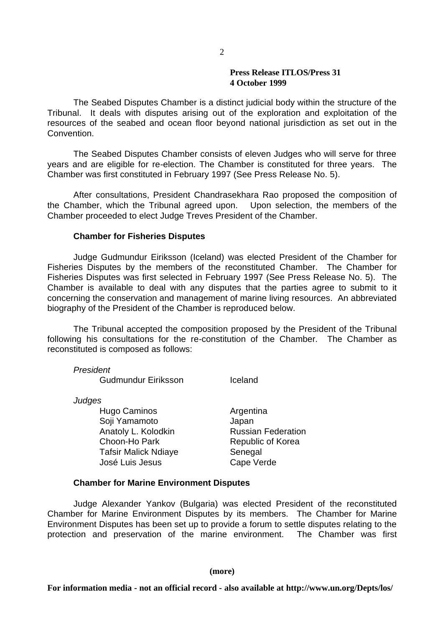The Seabed Disputes Chamber is a distinct judicial body within the structure of the Tribunal. It deals with disputes arising out of the exploration and exploitation of the resources of the seabed and ocean floor beyond national jurisdiction as set out in the Convention.

The Seabed Disputes Chamber consists of eleven Judges who will serve for three years and are eligible for re-election. The Chamber is constituted for three years. The Chamber was first constituted in February 1997 (See Press Release No. 5).

After consultations, President Chandrasekhara Rao proposed the composition of the Chamber, which the Tribunal agreed upon. Upon selection, the members of the Chamber proceeded to elect Judge Treves President of the Chamber.

### **Chamber for Fisheries Disputes**

Judge Gudmundur Eiriksson (Iceland) was elected President of the Chamber for Fisheries Disputes by the members of the reconstituted Chamber. The Chamber for Fisheries Disputes was first selected in February 1997 (See Press Release No. 5). The Chamber is available to deal with any disputes that the parties agree to submit to it concerning the conservation and management of marine living resources. An abbreviated biography of the President of the Chamber is reproduced below.

The Tribunal accepted the composition proposed by the President of the Tribunal following his consultations for the re-constitution of the Chamber. The Chamber as reconstituted is composed as follows:

*President*

Gudmundur Eiriksson Iceland

*Judges*

Hugo Caminos **Argentina** Soii Yamamoto **Japan** Anatoly L. Kolodkin **Russian Federation** Choon-Ho Park Republic of Korea Tafsir Malick Ndiaye **Senegal** José Luis Jesus Cape Verde

## **Chamber for Marine Environment Disputes**

Judge Alexander Yankov (Bulgaria) was elected President of the reconstituted Chamber for Marine Environment Disputes by its members. The Chamber for Marine Environment Disputes has been set up to provide a forum to settle disputes relating to the protection and preservation of the marine environment. The Chamber was first

#### **(more)**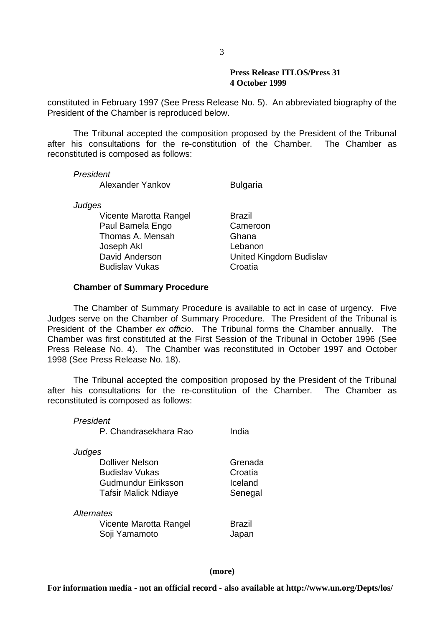constituted in February 1997 (See Press Release No. 5). An abbreviated biography of the President of the Chamber is reproduced below.

The Tribunal accepted the composition proposed by the President of the Tribunal after his consultations for the re-constitution of the Chamber. The Chamber as reconstituted is composed as follows:

*President*

Alexander Yankov Bulgaria

*Judges*

Vicente Marotta Rangel Brazil Paul Bamela Engo Cameroon Thomas A. Mensah Ghana Joseph Akl Lebanon Budislav Vukas Croatia

David Anderson United Kingdom Budislav

### **Chamber of Summary Procedure**

The Chamber of Summary Procedure is available to act in case of urgency. Five Judges serve on the Chamber of Summary Procedure. The President of the Tribunal is President of the Chamber *ex officio*. The Tribunal forms the Chamber annually. The Chamber was first constituted at the First Session of the Tribunal in October 1996 (See Press Release No. 4). The Chamber was reconstituted in October 1997 and October 1998 (See Press Release No. 18).

The Tribunal accepted the composition proposed by the President of the Tribunal after his consultations for the re-constitution of the Chamber. The Chamber as reconstituted is composed as follows:

*President*

| P. Chandrasekhara Rao | India |
|-----------------------|-------|
|                       |       |

*Judges*

Dolliver Nelson Grenada Budislav Vukas Croatia Gudmundur Eiriksson **Iceland** Tafsir Malick Ndiave **Senegal** 

*Alternates*

Vicente Marotta Rangel Brazil Soji Yamamoto **Japan** 

**(more)**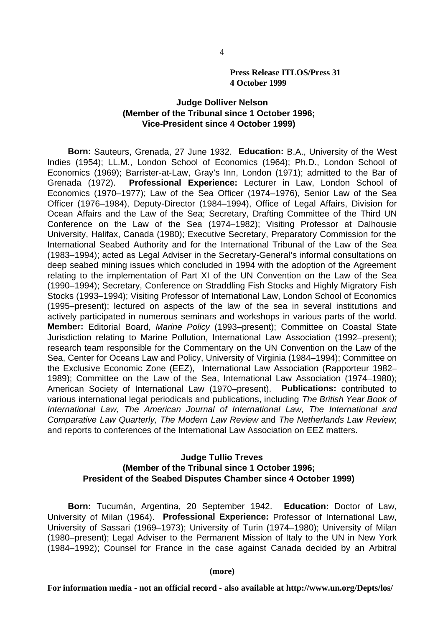# **Judge Dolliver Nelson (Member of the Tribunal since 1 October 1996; Vice-President since 4 October 1999)**

**Born:** Sauteurs, Grenada, 27 June 1932. **Education:** B.A., University of the West Indies (1954); LL.M., London School of Economics (1964); Ph.D., London School of Economics (1969); Barrister-at-Law, Gray's Inn, London (1971); admitted to the Bar of Grenada (1972). **Professional Experience:** Lecturer in Law, London School of Economics (1970–1977); Law of the Sea Officer (1974–1976), Senior Law of the Sea Officer (1976–1984), Deputy-Director (1984–1994), Office of Legal Affairs, Division for Ocean Affairs and the Law of the Sea; Secretary, Drafting Committee of the Third UN Conference on the Law of the Sea (1974–1982); Visiting Professor at Dalhousie University, Halifax, Canada (1980); Executive Secretary, Preparatory Commission for the International Seabed Authority and for the International Tribunal of the Law of the Sea (1983–1994); acted as Legal Adviser in the Secretary-General's informal consultations on deep seabed mining issues which concluded in 1994 with the adoption of the Agreement relating to the implementation of Part XI of the UN Convention on the Law of the Sea (1990–1994); Secretary, Conference on Straddling Fish Stocks and Highly Migratory Fish Stocks (1993–1994); Visiting Professor of International Law, London School of Economics (1995–present); lectured on aspects of the law of the sea in several institutions and actively participated in numerous seminars and workshops in various parts of the world. **Member:** Editorial Board, *Marine Policy* (1993–present); Committee on Coastal State Jurisdiction relating to Marine Pollution, International Law Association (1992–present); research team responsible for the Commentary on the UN Convention on the Law of the Sea, Center for Oceans Law and Policy, University of Virginia (1984–1994); Committee on the Exclusive Economic Zone (EEZ), International Law Association (Rapporteur 1982– 1989); Committee on the Law of the Sea, International Law Association (1974–1980); American Society of International Law (1970–present). **Publications:** contributed to various international legal periodicals and publications, including *The British Year Book of International Law, The American Journal of International Law, The International and Comparative Law Quarterly, The Modern Law Review* and *The Netherlands Law Review*; and reports to conferences of the International Law Association on EEZ matters.

## **Judge Tullio Treves (Member of the Tribunal since 1 October 1996; President of the Seabed Disputes Chamber since 4 October 1999)**

**Born:** Tucumán, Argentina, 20 September 1942. **Education:** Doctor of Law, University of Milan (1964). **Professional Experience:** Professor of International Law, University of Sassari (1969–1973); University of Turin (1974–1980); University of Milan (1980–present); Legal Adviser to the Permanent Mission of Italy to the UN in New York (1984–1992); Counsel for France in the case against Canada decided by an Arbitral

**(more)**

**For information media - not an official record - also available at http://www.un.org/Depts/los/**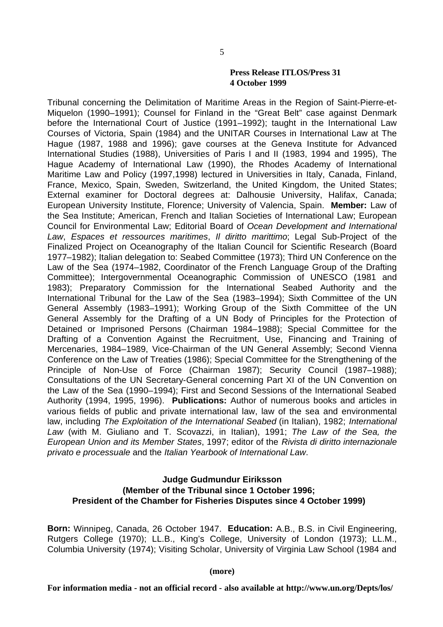Tribunal concerning the Delimitation of Maritime Areas in the Region of Saint-Pierre-et-Miquelon (1990–1991); Counsel for Finland in the "Great Belt" case against Denmark before the International Court of Justice (1991–1992); taught in the International Law Courses of Victoria, Spain (1984) and the UNITAR Courses in International Law at The Hague (1987, 1988 and 1996); gave courses at the Geneva Institute for Advanced International Studies (1988), Universities of Paris I and II (1983, 1994 and 1995), The Hague Academy of International Law (1990), the Rhodes Academy of International Maritime Law and Policy (1997,1998) lectured in Universities in Italy, Canada, Finland, France, Mexico, Spain, Sweden, Switzerland, the United Kingdom, the United States; External examiner for Doctoral degrees at: Dalhousie University, Halifax, Canada; European University Institute, Florence; University of Valencia, Spain. **Member:** Law of the Sea Institute; American, French and Italian Societies of International Law; European Council for Environmental Law; Editorial Board of *Ocean Development and International Law*, *Espaces et ressources maritimes*, *Il diritto marittimo*; Legal Sub-Project of the Finalized Project on Oceanography of the Italian Council for Scientific Research (Board 1977–1982); Italian delegation to: Seabed Committee (1973); Third UN Conference on the Law of the Sea (1974–1982, Coordinator of the French Language Group of the Drafting Committee); Intergovernmental Oceanographic Commission of UNESCO (1981 and 1983); Preparatory Commission for the International Seabed Authority and the International Tribunal for the Law of the Sea (1983–1994); Sixth Committee of the UN General Assembly (1983–1991); Working Group of the Sixth Committee of the UN General Assembly for the Drafting of a UN Body of Principles for the Protection of Detained or Imprisoned Persons (Chairman 1984–1988); Special Committee for the Drafting of a Convention Against the Recruitment, Use, Financing and Training of Mercenaries, 1984–1989, Vice-Chairman of the UN General Assembly; Second Vienna Conference on the Law of Treaties (1986); Special Committee for the Strengthening of the Principle of Non-Use of Force (Chairman 1987); Security Council (1987–1988); Consultations of the UN Secretary-General concerning Part XI of the UN Convention on the Law of the Sea (1990–1994); First and Second Sessions of the International Seabed Authority (1994, 1995, 1996). **Publications:** Author of numerous books and articles in various fields of public and private international law, law of the sea and environmental law, including *The Exploitation of the International Seabed* (in Italian), 1982; *International Law* (with M. Giuliano and T. Scovazzi, in Italian), 1991; *The Law of the Sea, the European Union and its Member States*, 1997; editor of the *Rivista di diritto internazionale privato e processuale* and the *Italian Yearbook of International Law*.

## **Judge Gudmundur Eiriksson (Member of the Tribunal since 1 October 1996; President of the Chamber for Fisheries Disputes since 4 October 1999)**

**Born:** Winnipeg, Canada, 26 October 1947. **Education:** A.B., B.S. in Civil Engineering, Rutgers College (1970); LL.B., King's College, University of London (1973); LL.M., Columbia University (1974); Visiting Scholar, University of Virginia Law School (1984 and

**(more)**

5

**For information media - not an official record - also available at http://www.un.org/Depts/los/**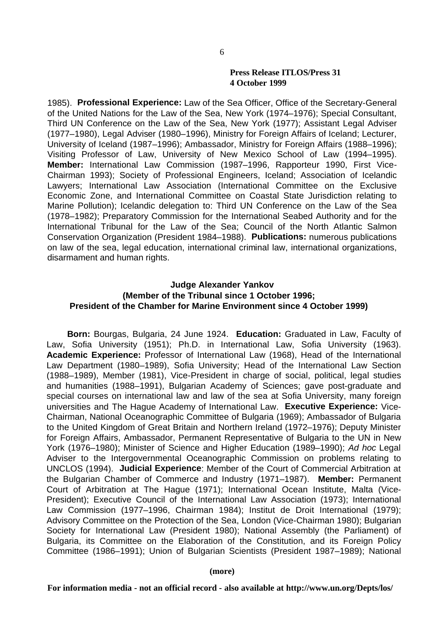1985). **Professional Experience:** Law of the Sea Officer, Office of the Secretary-General of the United Nations for the Law of the Sea, New York (1974–1976); Special Consultant, Third UN Conference on the Law of the Sea, New York (1977); Assistant Legal Adviser (1977–1980), Legal Adviser (1980–1996), Ministry for Foreign Affairs of Iceland; Lecturer, University of Iceland (1987–1996); Ambassador, Ministry for Foreign Affairs (1988–1996); Visiting Professor of Law, University of New Mexico School of Law (1994–1995). **Member:** International Law Commission (1987–1996, Rapporteur 1990, First Vice-Chairman 1993); Society of Professional Engineers, Iceland; Association of Icelandic Lawyers; International Law Association (International Committee on the Exclusive Economic Zone, and International Committee on Coastal State Jurisdiction relating to Marine Pollution); Icelandic delegation to: Third UN Conference on the Law of the Sea (1978–1982); Preparatory Commission for the International Seabed Authority and for the International Tribunal for the Law of the Sea; Council of the North Atlantic Salmon Conservation Organization (President 1984–1988). **Publications:** numerous publications on law of the sea, legal education, international criminal law, international organizations, disarmament and human rights.

# **Judge Alexander Yankov (Member of the Tribunal since 1 October 1996; President of the Chamber for Marine Environment since 4 October 1999)**

**Born:** Bourgas, Bulgaria, 24 June 1924. **Education:** Graduated in Law, Faculty of Law, Sofia University (1951); Ph.D. in International Law, Sofia University (1963). **Academic Experience:** Professor of International Law (1968), Head of the International Law Department (1980–1989), Sofia University; Head of the International Law Section (1988–1989), Member (1981), Vice-President in charge of social, political, legal studies and humanities (1988–1991), Bulgarian Academy of Sciences; gave post-graduate and special courses on international law and law of the sea at Sofia University, many foreign universities and The Hague Academy of International Law. **Executive Experience:** Vice-Chairman, National Oceanographic Committee of Bulgaria (1969); Ambassador of Bulgaria to the United Kingdom of Great Britain and Northern Ireland (1972–1976); Deputy Minister for Foreign Affairs, Ambassador, Permanent Representative of Bulgaria to the UN in New York (1976–1980); Minister of Science and Higher Education (1989–1990); *Ad hoc* Legal Adviser to the Intergovernmental Oceanographic Commission on problems relating to UNCLOS (1994). **Judicial Experience**: Member of the Court of Commercial Arbitration at the Bulgarian Chamber of Commerce and Industry (1971–1987). **Member:** Permanent Court of Arbitration at The Hague (1971); International Ocean Institute, Malta (Vice-President); Executive Council of the International Law Association (1973); International Law Commission (1977–1996, Chairman 1984); Institut de Droit International (1979); Advisory Committee on the Protection of the Sea, London (Vice-Chairman 1980); Bulgarian Society for International Law (President 1980); National Assembly (the Parliament) of Bulgaria, its Committee on the Elaboration of the Constitution, and its Foreign Policy Committee (1986–1991); Union of Bulgarian Scientists (President 1987–1989); National

**(more)**

**For information media - not an official record - also available at http://www.un.org/Depts/los/**